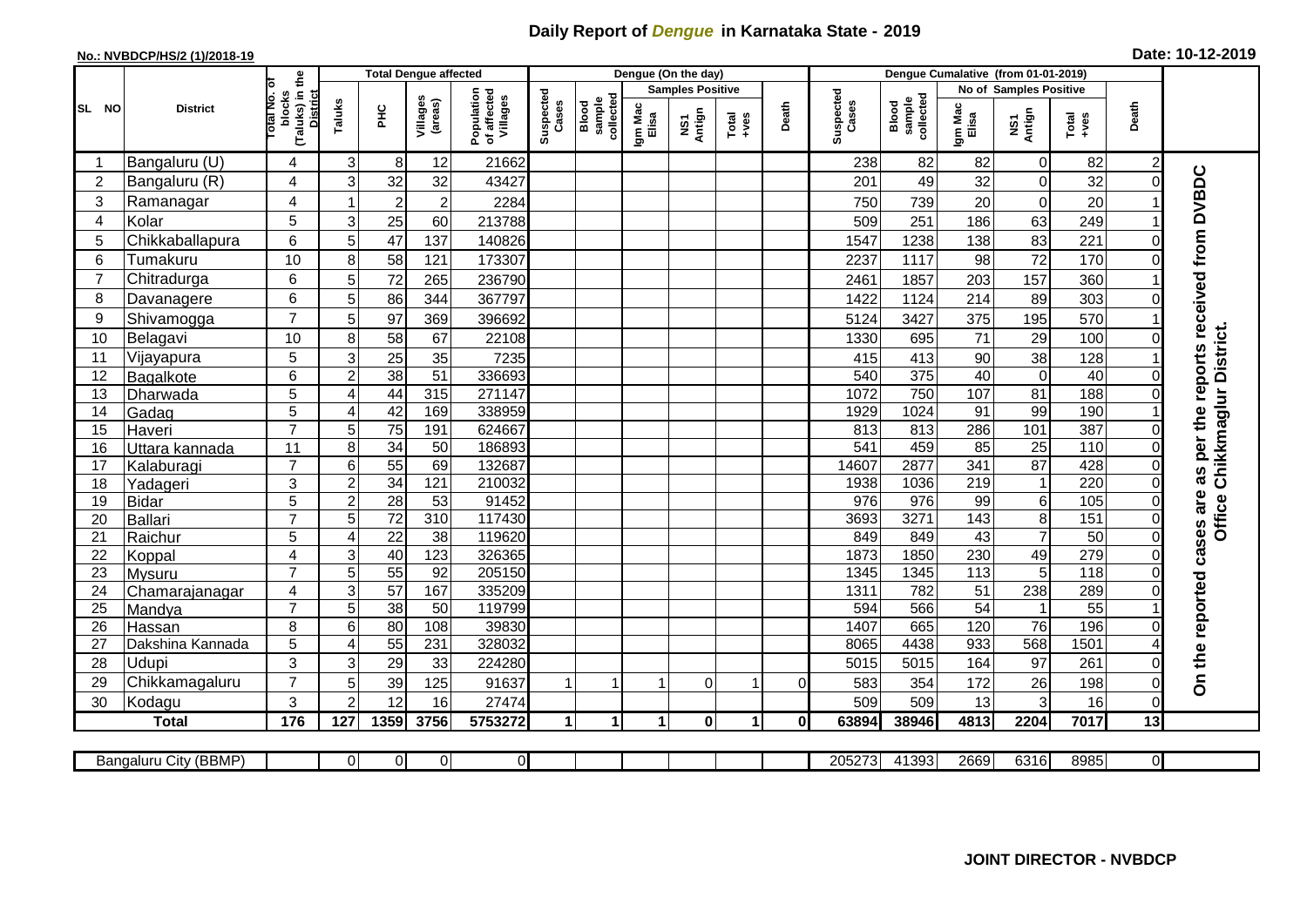## **Daily Report of** *Dengue* **in Karnataka State - 2019**

## **No.: NVBDCP/HS/2 (1)/2018-19 Date: 10-12-2019**

|                | <b>Total Dengue affected</b><br>the |                                                      |                           |                  |                     |                                       |                    |                             |                  | Dengue (On the day)     |                  |              |                    |                              |                               |                 |               |                |                                        |
|----------------|-------------------------------------|------------------------------------------------------|---------------------------|------------------|---------------------|---------------------------------------|--------------------|-----------------------------|------------------|-------------------------|------------------|--------------|--------------------|------------------------------|-------------------------------|-----------------|---------------|----------------|----------------------------------------|
|                |                                     | ō                                                    |                           |                  |                     |                                       |                    |                             |                  | <b>Samples Positive</b> |                  |              |                    |                              | <b>No of Samples Positive</b> |                 |               |                |                                        |
| SL NO          | <b>District</b>                     | (Taluks) in<br><b>District</b><br>blocks<br>otal No. | Taluks                    | È                | Villages<br>(areas) | Population<br>of affected<br>Villages | Suspected<br>Cases | sample<br>collecte<br>Blood | Igm Mac<br>Elisa | NS1<br>Antign           | $Tota$<br>$+ves$ | Death        | Suspected<br>Cases | sample<br>collected<br>Blood | Igm Mac<br>Elisa              | NS1<br>Antign   | Total<br>+ves | Death          |                                        |
| -1             | Bangaluru (U)                       | 4                                                    | 3                         | 8                | 12                  | 21662                                 |                    |                             |                  |                         |                  |              | 238                | 82                           | 82                            | $\overline{0}$  | 82            |                |                                        |
| $\overline{2}$ | Bangaluru (R)                       | 4                                                    | 3                         | 32               | 32                  | 43427                                 |                    |                             |                  |                         |                  |              | 201                | 49                           | 32                            | $\Omega$        | 32            |                | as per the reports received from DVBDC |
| 3              | Ramanagar                           | 4                                                    |                           | $\boldsymbol{2}$ | $\overline{2}$      | 2284                                  |                    |                             |                  |                         |                  |              | 750                | 739                          | 20                            | $\overline{0}$  | 20            |                |                                        |
| 4              | Kolar                               | 5                                                    | $\mathbf{3}$              | 25               | 60                  | 213788                                |                    |                             |                  |                         |                  |              | 509                | 251                          | 186                           | 63              | 249           |                |                                        |
| 5              | Chikkaballapura                     | 6                                                    | 5                         | 47               | 137                 | 140826                                |                    |                             |                  |                         |                  |              | 1547               | 1238                         | 138                           | 83              | 221           |                |                                        |
| 6              | Tumakuru                            | 10                                                   | 8                         | 58               | 121                 | 173307                                |                    |                             |                  |                         |                  |              | 2237               | 1117                         | 98                            | 72              | 170           |                |                                        |
| 7              | Chitradurga                         | 6                                                    | 5                         | 72               | 265                 | 236790                                |                    |                             |                  |                         |                  |              | 2461               | 1857                         | 203                           | 157             | 360           |                |                                        |
| 8              | Davanagere                          | 6                                                    | 5                         | 86               | 344                 | 367797                                |                    |                             |                  |                         |                  |              | 1422               | 1124                         | 214                           | 89              | 303           |                |                                        |
| 9              | Shivamogga                          | $\overline{7}$                                       | 5                         | 97               | 369                 | 396692                                |                    |                             |                  |                         |                  |              | 5124               | 3427                         | 375                           | 195             | 570           |                |                                        |
| 10             | Belagavi                            | 10                                                   | 8                         | 58               | 67                  | 22108                                 |                    |                             |                  |                         |                  |              | 1330               | 695                          | 71                            | 29              | 100           |                | Chikkmaglur District.                  |
| 11             | Vijayapura                          | 5                                                    | $\ensuremath{\mathsf{3}}$ | 25               | 35                  | 7235                                  |                    |                             |                  |                         |                  |              | 415                | 413                          | 90                            | 38              | 128           |                |                                        |
| 12             | Bagalkote                           | 6                                                    | $\overline{c}$            | 38               | $\overline{51}$     | 336693                                |                    |                             |                  |                         |                  |              | 540                | 375                          | 40                            | $\Omega$        | 40            |                |                                        |
| 13             | Dharwada                            | 5                                                    | 4                         | 44               | 315                 | 271147                                |                    |                             |                  |                         |                  |              | 1072               | 750                          | 107                           | $\overline{81}$ | 188           |                |                                        |
| 14             | Gadag                               | 5                                                    | $\overline{4}$            | 42               | 169                 | 338959                                |                    |                             |                  |                         |                  |              | 1929               | 1024                         | $\overline{91}$               | 99              | 190           |                |                                        |
| 15             | Haveri                              | $\overline{7}$                                       | 5                         | $\overline{75}$  | 191                 | 624667                                |                    |                             |                  |                         |                  |              | 813                | 813                          | 286                           | 101             | 387           |                |                                        |
| 16             | Uttara kannada                      | 11                                                   | 8                         | $\overline{34}$  | 50                  | 186893                                |                    |                             |                  |                         |                  |              | 541                | 459                          | 85                            | 25              | 110           |                |                                        |
| 17             | Kalaburagi                          | $\overline{7}$                                       | $6\phantom{1}$            | 55               | 69                  | 132687                                |                    |                             |                  |                         |                  |              | 14607              | 2877                         | 341                           | $\overline{87}$ | 428           | $\Omega$       |                                        |
| 18             | Yadageri                            | 3                                                    | $\overline{c}$            | 34               | 121                 | 210032                                |                    |                             |                  |                         |                  |              | 1938               | 1036                         | 219                           | $\overline{1}$  | 220           | 0              |                                        |
| 19             | <b>Bidar</b>                        | 5                                                    | $\overline{c}$            | 28               | 53                  | 91452                                 |                    |                             |                  |                         |                  |              | 976                | 976                          | 99                            | $6 \mid$        | 105           |                | are<br>Office                          |
| 20             | <b>Ballari</b>                      | $\overline{7}$                                       | 5                         | $\overline{72}$  | 310                 | 117430                                |                    |                             |                  |                         |                  |              | 3693               | 3271                         | 143                           | 8 <sup>1</sup>  | 151           |                |                                        |
| 21             | Raichur                             | 5                                                    | $\overline{4}$            | $\overline{22}$  | $\overline{38}$     | 119620                                |                    |                             |                  |                         |                  |              | 849                | 849                          | 43                            | $\overline{7}$  | 50            | $\Omega$       | cases                                  |
| 22             | Koppal                              | 4                                                    | 3                         | 40               | 123                 | 326365                                |                    |                             |                  |                         |                  |              | 1873               | 1850                         | 230                           | 49              | 279           | $\Omega$       |                                        |
| 23             | Mysuru                              | $\overline{7}$                                       | 5                         | 55               | $\overline{92}$     | 205150                                |                    |                             |                  |                         |                  |              | 1345               | 1345                         | 113                           | $5\phantom{.0}$ | 118           | $\Omega$       |                                        |
| 24             | Chamarajanagar                      | 4                                                    | 3                         | 57               | 167                 | 335209                                |                    |                             |                  |                         |                  |              | 1311               | 782                          | $\overline{51}$               | 238             | 289           |                |                                        |
| 25             | Mandya                              | $\overline{7}$                                       | 5                         | 38               | 50                  | 119799                                |                    |                             |                  |                         |                  |              | 594                | 566                          | $\overline{54}$               | $\mathbf 1$     | 55            |                |                                        |
| 26             | Hassan                              | 8                                                    | 6                         | 80               | 108                 | 39830                                 |                    |                             |                  |                         |                  |              | 1407               | 665                          | 120                           | $\overline{76}$ | 196           |                |                                        |
| 27             | Dakshina Kannada                    | 5                                                    | 4                         | 55               | 231                 | 328032                                |                    |                             |                  |                         |                  |              | 8065               | 4438                         | 933                           | 568             | 1501          |                |                                        |
| 28             | Udupi                               | 3                                                    | 3                         | 29               | 33                  | 224280                                |                    |                             |                  |                         |                  |              | 5015               | 5015                         | 164                           | 97              | 261           |                | On the reported                        |
| 29             | Chikkamagaluru                      | $\overline{7}$                                       | 5                         | 39               | 125                 | 91637                                 |                    |                             |                  | $\Omega$                |                  | $\Omega$     | 583                | 354                          | 172                           | 26              | 198           |                |                                        |
| 30             | Kodagu                              | 3                                                    | $\overline{2}$            | 12               | 16                  | 27474                                 |                    |                             |                  |                         |                  |              | 509                | 509                          | 13                            | 3               | 16            | 0              |                                        |
|                | <b>Total</b>                        | 176                                                  | 127                       | 1359             | 3756                | 5753272                               | 1                  | 1                           | 1                | $\mathbf 0$             | 1                | $\mathbf{0}$ | 63894              | 38946                        | 4813                          | 2204            | 7017          | 13             |                                        |
|                |                                     |                                                      |                           |                  |                     |                                       |                    |                             |                  |                         |                  |              |                    |                              |                               |                 |               |                |                                        |
|                | Bangaluru City (BBMP)               |                                                      | $\overline{0}$            | $\overline{0}$   | $\overline{0}$      | $\overline{O}$                        |                    |                             |                  |                         |                  |              | 205273             | 41393                        | 2669                          | 6316            | 8985          | $\overline{0}$ |                                        |